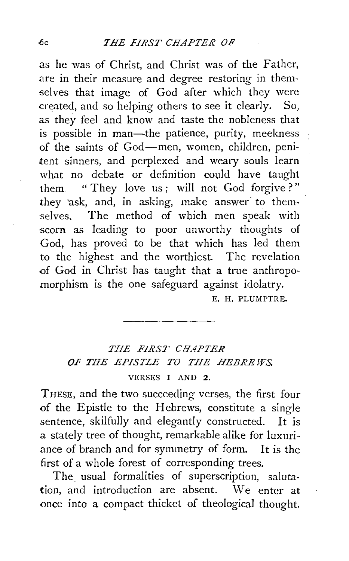as he was of Christ, and Christ was of the Father, .are in their measure and degree restoring in themselves that image of God after which they were created, and so helping others to see it clearly. So, as they feel and know and taste the nobleness that is possible in man—the patience, purity, meekness of the saints of God-men, women, children, penitent sinners, and perplexed and weary souls learn what no debate or definition could have taught them. " They love us; will not God forgive?" they ask, and, in asking, make answer to themselves. The method of which men speak with scorn as leading to poor unworthy thoughts of God, has proved to be that which has led them to the highest and the worthiest. The revelation of God in Christ has taught that a true anthropomorphism is the one safeguard against idolatry. E. H. PLUMPTRE.

## *THE FIRST CHAPTER OF THE EPISTLE TO THE HEBREWS.*  VERSES I AND 2.

THESE, and the two succeeding verses, the first four of the Epistle to the Hebrews, constitute a single sentence, skilfully and elegantly constructed. It is a stately tree of thought, remarkable alike for luxuriance of branch and for symmetry of form. It is the first of a whole forest of corresponding trees.

The usual formalities of superscription, salutation, and introduction are absent. We enter at once into a compact thicket of theological thought.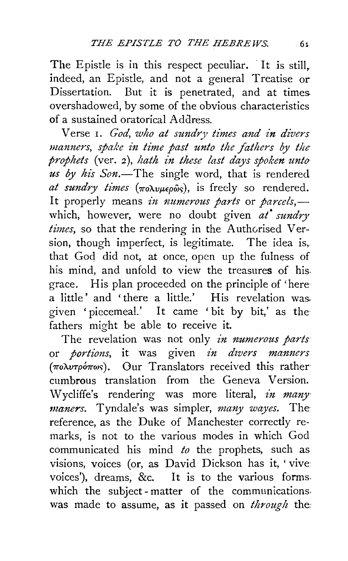The Epistle is in this respect peculiar. It is still, indeed, an Epistle, and not a general Treatise or Dissertation. But it is penetrated, and at times overshadowed, by some of the obvious characteristics of a sustained oratorical Adaress.

Verse 1. *God, who at sundry times and in divers manners, spake in time past unto the fathers by the prophets* (ver. 2), *hath in these last days spoken unto us by his* Son.-The single word, that is rendered  $at$  sundry times ( $\pi$ o $\lambda v \mu \epsilon \rho \omega s$ ), is freely so rendered. It properly means *in numerous parts* or *parcels*, which, however, were no doubt given *at sundry times*, so that the rendering in the Authcrised Version, though imperfect, is legitimate. The idea is, that God did not, at once, open up the fulness of his mind, and unfold to view the treasures of his. grace. His plan proceeded on the principle of 'here· a little' and 'there a little.' His revelation was. given 'piecemeal.' It came 'bit by bit,' as the· fathers might be able to receive it.

The revelation was not only *in numerous parts*  or *portions,* it was given *in divers manners*   $(\pi \circ \lambda \circ \pi \circ \circ \pi)$ . Our Translators received this rather cumbrous translation from the Geneva Version. Wycliffe's rendering was more literal, *in many· maners.* Tyndale's was simpler, *many wayes.* The reference, as the Duke of Manchester correctly remarks, is not to the various modes in which God communicated his mind *to* the prophets, such as visions, voices (or, as David Dickson has it, ' vive voices'), dreams, &c. It is to the various forms. which the subject - matter of the communications. was made to assume, as it passed on *through* the: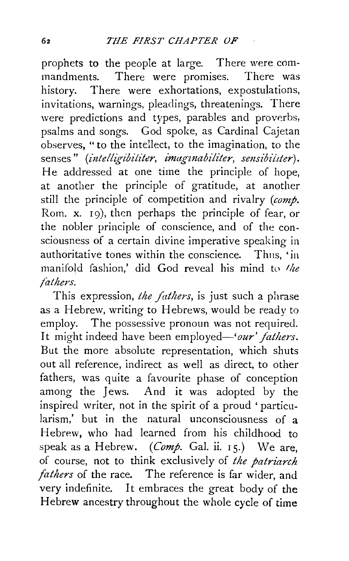prophets to the people at large. There were commandments. There were promises. There was history. There were exhortations, expostulations, invitations, warnings, pleadings, threatenings. There were predictions and types, parables and proverbs, psalms and songs. God spoke, as Cardinal Cajetan observes, "to the intellect, to the imagination, to the senses" *(intelligibiliter, imaginabiliter, sensibiliter)*. He addressed at one time the principle of hope, at another the principle of gratitude, at another still the principle of competition and rivalry *(comp.*  Rom. x. 19), then perhaps the principle of fear, or the nobler principle of conscience, and of the consciousness of a certain divine imperative speaking in authoritative tones within the conscience. Thus, 'in manifold fashion,' did God reveal his mind to the *fathers.* 

This expression, *the fathers,* is just such a phrase as a Hebrew, writing to Hebrews, would be ready to employ. The possessive pronoun was not required. It might indeed have been *employed-'our' fathers.*  But the more absolute representation, which shuts out all reference, indirect as well as direct, to other fathers, was quite a favourite phase of conception among the Jews. And it was adopted by the inspired writer, not in the spirit of a proud ' particularism,' but in the natural unconsciousness of a Hebrew, who had learned from his childhood to speak as a Hebrew. *(Comp.* Gal. ii. 15.) We are, of course, not to think exclusively of *the patriarch fathers* of the race. The reference is far wider, and very indefinite. It embraces the great body of the Hebrew ancestry throughout the whole cycle of time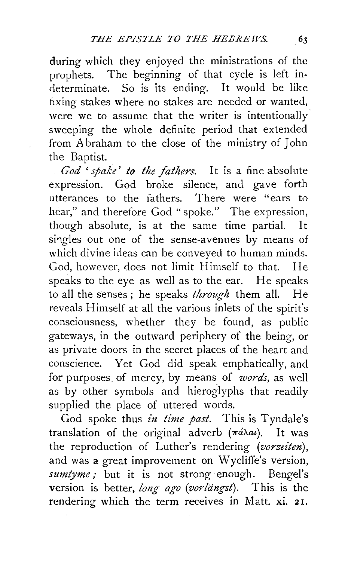during which they enjoyed the ministrations of the prophets. The beginning of that cycle is left in determinate. So is its ending. It would be like  $fixing$  stakes where no stakes are needed or wanted, were we to assume that the writer is intentionally sweeping the whole definite period that extended from Abraham to the close of the ministry of John the Baptist.

*God 'spake' to the fathers.* It is a fine absolute expression. God broke silence, and gave forth utterances to the fathers. There were "ears to hear," and therefore God " spoke." The expression, though absolute, is at the same time partial. It singles out one of the sense-avenues by means of which divine ideas can be conveyed to human minds. God, however, does not limit Himself to that. He speaks to the eye as well as to the ear. He speaks to all the senses ; he speaks *through* them all. He reveals Himself at all the various inlets of the spirit's consciousness, whether they be found, as public gateways, in the outward periphery of the being, or as private doors in the secret places of the heart and conscience. Yet God did speak emphatically, and for purposes. of mercy, by means of *words,* as well as by other symbols and hieroglyphs that readily supplied the place of uttered words.

God spoke thus *in time past.* This is Tyndale's translation of the original adverb  $(\pi d \lambda a_i)$ . It was the reproduction of Luther's rendering *(vorzeiten),*  and was a great improvement on Wycliffe's version, sumtyme; but it is not strong enough. Bengel's version is better, long ago (vorlängst). This is the rendering which the term receives in Matt. xi. 21.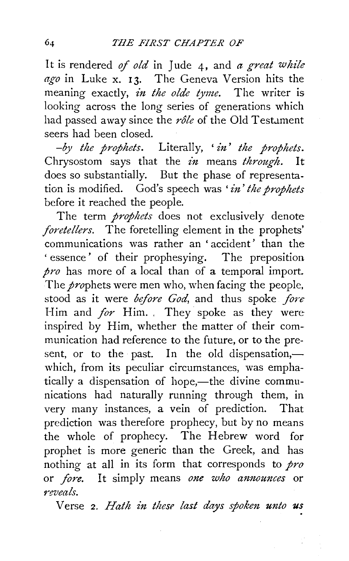It is rendered *of old* in Jude 4, and *a great while ago* **in** Luke x. **13.** The Geneva Version hits the meaning exactly, *in the olde tyme.* The writer is looking across the long series of generations which had passed away since the *rôle* of the Old Test...ment seers had been closed.

*-by the prophets.* Literally, *'in' the prophets.*  Chrysostom says that the *in* means *through.* It does so substantially. But the phase of representation is modified. God's speech was *'in' the prophets*  before it reached the people.

The term *prophets* does not exclusively denote *.foretellers.* The foretelling element in the prophets' communications was rather an ' accident' than the ' essence' of their prophesying. The preposition *pro* has more of a local than of a temporal import. The *prophets* were men who, when facing the people, stood as it were *before God*, and thus spoke *fore* Him and *for* Him. They spoke as they were inspired by Him, whether the matter of their communication had reference to the future, or to the present, or to the past. In the old dispensation,which, from its peculiar circumstances, was emphatically a dispensation of hope,—the divine communications had naturally running through them, in very many instances, a vein of prediction. That prediction was therefore prophecy, but by no means the whole of prophecy. The Hebrew word for prophet is more generic than the Greek, and has nothing at all in its form that corresponds to *pro*  or *.fore.* It simply means *one who announces* or *n:veals.* 

Verse 2. *Hath in thesr last days spoken unto us*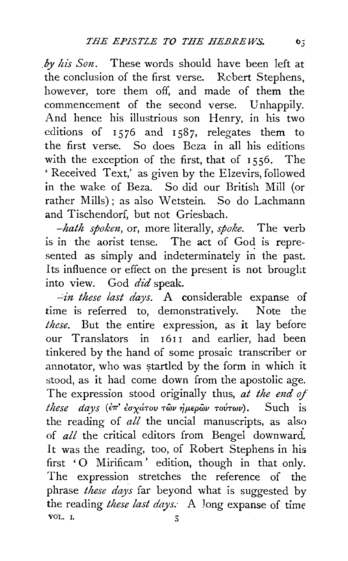*. by his Son.* These words should have been left at the conclusion of the first verse. Rebert Stephens, however, tore them off, and made of them the commencement of the second verse. Unhappily. And hence his illustrious son Henry, in his two editions of 1576 and 1587, relegates them to the first verse. So does Beza in all his editions with the exception of the first, that of 1556. The 'Received Text,' as given by the Elzevirs, followed in the wake of Beza. So did our British Mill (or rather Mills); as also Wetstein. So do Lachmann and Tischendorf, but not Griesbach.

*-hath spoken,* or, more literally, *spoke.* The verb is in the aorist tense. The act of God is represented as simply and indeterminately in the past. Its influence or effect on the present is not brought into view. God *did* speak.

*.-:.in these last days.* A considerable expanse of time is referred to, demonstratively. Note the *these.* But the entire expression, as it lay before our Translators in 1611 and earlier, had been tinkered by the hand of some prosaic transcriber or annotator, who was startled by the form in which it stood, as it had come down from the apostolic age. The expression stood originally thus, *at the end of these days*  $($ <sup>επ</sup>' εσχάτου τῶν ήμερῶν τούτων). Such is the reading of *all* the uncial manuscripts, as also of *all* the critical editors from Bengel downward. It was the reading, too, of Robert Stephens in his first 'O Mirificam' edition, though in that only. The expression stretches the reference of the phrase *these days* far beyond what is suggested by the reading *these last days;* A Jong expanse of time vot.  $\mathbf{I}$ .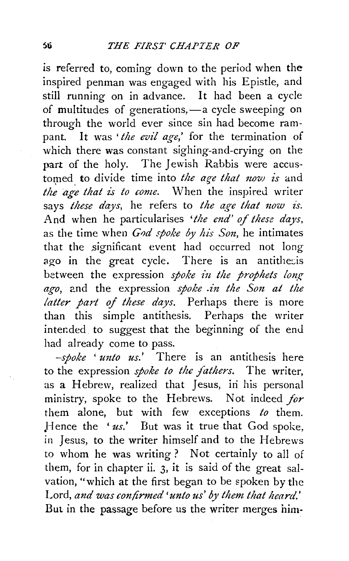is referred to, coming down to the period when the inspired penman was engaged with his Epistle, and still running on in advance. It had been a cycle of multitudes of generations,—a cycle sweeping on through the world ever since sin had become rampant. It was 'the evil age,' for the termination of which there was constant sighing-and-crying on the part of the holy. The Jewish Rabbis were accustomed to divide time into *the age that now is* and the age that is to come. When the inspired writer says *these days*, he refers to *the age that now is.* And when he particularises *'the end' of these days,*  as the time when *God spoke by his Son*, he intimates that the significant event had occurred not long ago in the great cycle. There is an antithesis between the expression *spoke in the prophets long ago,* 2.nd the expression *spoke .in the Son at the latter part of these days.* Perhaps there is more than this simple antithesis. Perhaps the writer intended to suggest that the beginning of the end had already come to pass.

*-spoke* ' *unto us.'* There is an antithesis here to the expression *spoke to the fathers*. The writer, as a Hebrew, realized that Jesus, in his personal ministry, spoke to the Hebrews. Not indeed *for*  them alone, but with few exceptions *to* them. Hence the 'us.' But was it true that God spoke, in Jesus, to the writer himself and to the Hebrews to whom he was writing? Not certainly to all of them, for in chapter ii.  $3$ , it is said of the great salvation, "which at the first began to be spoken by the Lord, *and was confirmed 'unto us' by them that heard.'*  But in the passage before us the writer merges him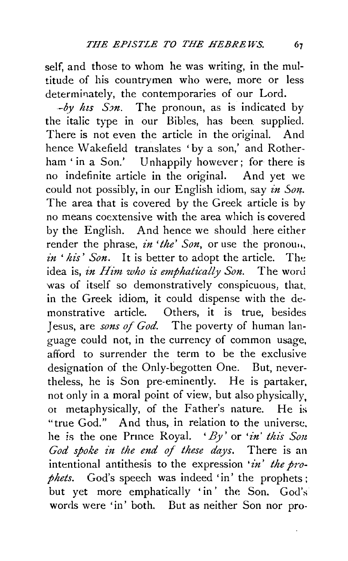self, and those to whom he was writing, in the multitude of his countrymen who were, more or less determinately, the contemporaries of our Lord.

 $-by$  *his Son*. The pronoun, as is indicated by the italic type in our Bibles, has been supplied. There is not even the article in the original. And hence Wakefield translates 'by a son,' and Rotherham ' in a Son.' Unhappily however; for there is no indefinite article in the original. And yet we could not possibly, in our English idiom, say *in Son*. The area that is covered by the Greek article is by no means coextensive with the area which is covered by the English. And hence we should here either render the phrase, *in 'the' Son,* or use the pronouu,  $in$   $'$ *his' Son*. It is better to adopt the article. The idea is, *in Him who is emphatically Son*. The word was of itself so demonstratively conspicuous, that, in the Greek idiom, it could dispense with the demonstrative article. Others, it is true, besides Jesus, are *sons of God.* The poverty of human language could not, in the currency of common usage, afford to surrender the term to be the exclusive designation of the Only-begotten One. But, nevertheless, he is Son pre-eminently. He is partaker, not only in a moral point of view, but also physically, or metaphysically, of the Father's nature. He is "true God." And thus, in relation to the universe, he is the one Prince Royal. 'By' or 'in' this Son *God spoke in the end of these days.* There is an intentional antithesis to the expression *'in' the prophets.* God's speech was indeed 'in' the prophets; but yet more emphatically 'in' the Son. God's words were 'in' both. But as neither Son nor pro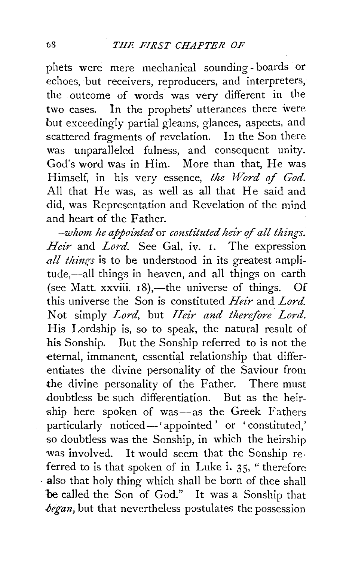phets were mere mechanical sounding- boards or echoes, but receivers, reproducers, and interpreters, the outcome of words was very different in the two cases. In the prophets' utterances there were but exceedingly partial gleams, glances, aspects, and scattered fragments of revelation. In the Son there was unparalleled fulness, and consequent unity. God's word was in Him. More than that, He was Himself, in his very essence, *the Word of God.*  All that He was, as well as all that He said and did, was Representation and Revelation of the mind and heart of the Father.

*-whom he appointed* or *constituted heir* ef *all things. Heir* and *Lord.* See Gal. iv. r. The expression *all things* is to be understood in its greatest amplitude,-all things in heaven, and all things on earth (see Matt. xxviii.  $18$ ),—the universe of things. Of this universe the Son is constituted *Heir* and *Lord.*  Not simply *Lord*, but *Heir and therefore Lord.* His Lordship is, so to speak, the natural result of his Sonship. But the Sonship referred to is not the eternal, immanent, essential relationship that differentiates the divine personality of the Saviour from the divine personality of the Father. There must .doubtless be such differentiation. But as the heir ship here spoken of was-as the Greek Fathers particularly noticed-'appointed' or 'constituted,' so doubtless was the Sonship, in which the heirship was involved. It would seem that the Sonship referred to is that spoken of in Luke i. 35, "therefore also that holy thing which shall be born of thee shall be called the Son of God." It was a Sonship that *began*, but that nevertheless postulates the possession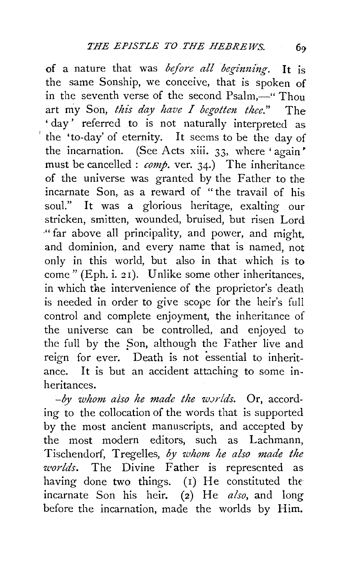of a nature that was *before all beginniizg.* It is the same Sonship, we conceive, that is spoken of in the seventh verse of the second  $P_{salm}$  + Thou art rriy Son, *this day have I begotten thee."* The 'day' referred .to is not naturally interpreted as the 'to-day' of eternity. It seems to be the day of the incarnation. (See Acts xiii. 33, where 'again' must be cancelled : *comp.* ver. 34.) The inheritance of the universe was granted by the Father to the incarnate Son, as a reward of " the travail of his soul." It was a glorious heritage, exalting our stricken, smitten, wounded, bruised, but risen Lord " far above all principality, and power, and might, and dominion, and every name that is named, not only in this world, but also in that which is to come" (Eph. i. 21). Unlike some other inheritances, in which the intervenience of the proprietor's death is needed in order to give scope for the heir's full control and complete enjoyment, the inheritance of the universe can be controlled, and enjoyed to the full by the Son, although the Father live and reign for ever. Death is not essential to inheritance. It is but an accident attaching to some inheritances.

*-by whom also he made the w.Jrlds.* Or, according to the collocation of the words that is supported by the most ancient manuscripts, and accepted by the most modern editors, such as Lachmann, Tischendorf, Tregelles, *by whom he also made the worlds.* The Divine Father is represented as having done two things. (1) He constituted the incarnate Son his heir. (2) He *also,* and long before the incarnation, made the worlds by Him.